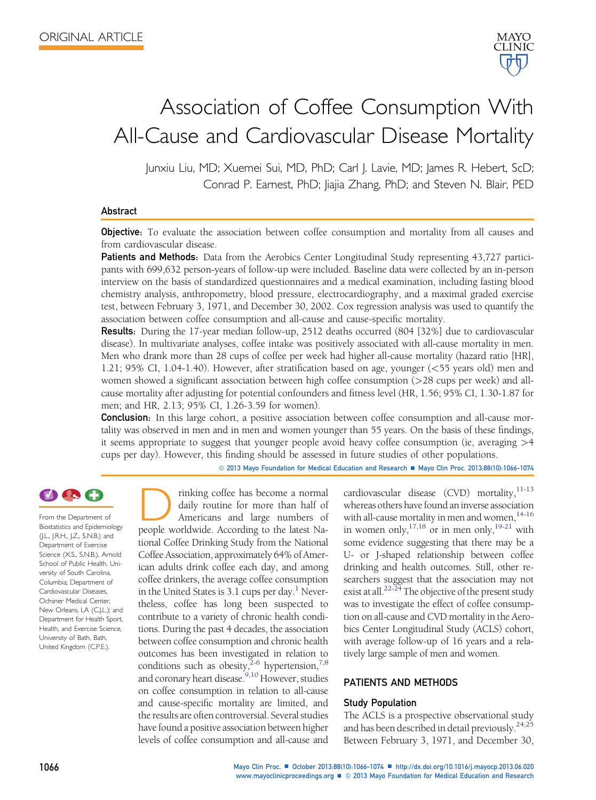

# Association of Coffee Consumption With All-Cause and Cardiovascular Disease Mortality

Junxiu Liu, MD; Xuemei Sui, MD, PhD; Carl J. Lavie, MD; James R. Hebert, ScD; Conrad P. Earnest, PhD; Jiajia Zhang, PhD; and Steven N. Blair, PED

## Abstract

**Objective:** To evaluate the association between coffee consumption and mortality from all causes and from cardiovascular disease.

Patients and Methods: Data from the Aerobics Center Longitudinal Study representing 43,727 participants with 699,632 person-years of follow-up were included. Baseline data were collected by an in-person interview on the basis of standardized questionnaires and a medical examination, including fasting blood chemistry analysis, anthropometry, blood pressure, electrocardiography, and a maximal graded exercise test, between February 3, 1971, and December 30, 2002. Cox regression analysis was used to quantify the association between coffee consumption and all-cause and cause-specific mortality.

Results: During the 17-year median follow-up, 2512 deaths occurred (804 [32%] due to cardiovascular disease). In multivariate analyses, coffee intake was positively associated with all-cause mortality in men. Men who drank more than 28 cups of coffee per week had higher all-cause mortality (hazard ratio [HR], 1.21; 95% CI, 1.04-1.40). However, after stratification based on age, younger (<55 years old) men and women showed a significant association between high coffee consumption (>28 cups per week) and allcause mortality after adjusting for potential confounders and fitness level (HR, 1.56; 95% CI, 1.30-1.87 for men; and HR, 2.13; 95% CI, 1.26-3.59 for women).

**Conclusion:** In this large cohort, a positive association between coffee consumption and all-cause mortality was observed in men and in men and women younger than 55 years. On the basis of these findings, it seems appropriate to suggest that younger people avoid heavy coffee consumption (ie, averaging >4 cups per day). However, this finding should be assessed in future studies of other populations.

© 2013 Mayo Foundation for Medical Education and Research ■ Mayo Clin Proc. 2013;88(10):1066-1074



From the Department of Biostatistics and Epidemiology (J.L., J.R.H., J.Z., S.N.B.) and Department of Exercise Science (X.S., S.N.B.), Arnold School of Public Health, University of South Carolina, Columbia; Department of Cardiovascular Diseases, Ochsner Medical Center, New Orleans, LA (C.J.L.); and Department for Health Sport, Health, and Exercise Science, University of Bath, Bath, United Kingdom (C.P.E.).

Tinking coffee has become a normal<br>daily routine for more than half of<br>Americans and large numbers of<br>people worldwide According to the latest Nadaily routine for more than half of Americans and large numbers of people worldwide. According to the latest National Coffee Drinking Study from the National Coffee Association, approximately 64% of American adults drink coffee each day, and among coffee drinkers, the average coffee consumption in the United States is  $3.1$  $3.1$  cups per day.<sup>1</sup> Nevertheless, coffee has long been suspected to contribute to a variety of chronic health conditions. During the past 4 decades, the association between coffee consumption and chronic health outcomes has been investigated in relation to conditions such as obesity, $2^{-6}$  hypertension,  $7,8$ and coronary heart disease.<sup>[9,10](#page-7-0)</sup> However, studies on coffee consumption in relation to all-cause and cause-specific mortality are limited, and the results are often controversial. Several studies have found a positive association between higher levels of coffee consumption and all-cause and

cardiovascular disease (CVD) mortality,  $11-13$ whereas others have found an inverse association with all-cause mortality in men and women,  $14-16$ in women only,  $17,18$  or in men only,  $19-21$  with some evidence suggesting that there may be a U- or J-shaped relationship between coffee drinking and health outcomes. Still, other researchers suggest that the association may not exist at all.<sup>22-24</sup> The objective of the present study was to investigate the effect of coffee consumption on all-cause and CVD mortality in the Aerobics Center Longitudinal Study (ACLS) cohort, with average follow-up of 16 years and a relatively large sample of men and women.

# PATIENTS AND METHODS

#### Study Population

The ACLS is a prospective observational study and has been described in detail previously.<sup>24,25</sup> Between February 3, 1971, and December 30,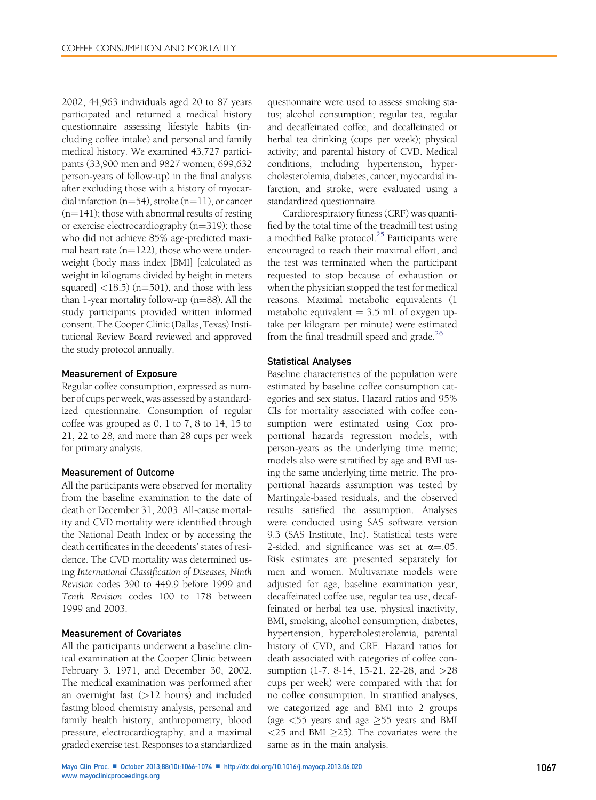2002, 44,963 individuals aged 20 to 87 years participated and returned a medical history questionnaire assessing lifestyle habits (including coffee intake) and personal and family medical history. We examined 43,727 participants (33,900 men and 9827 women; 699,632 person-years of follow-up) in the final analysis after excluding those with a history of myocardial infarction ( $n=54$ ), stroke ( $n=11$ ), or cancer  $(n=141)$ ; those with abnormal results of resting or exercise electrocardiography  $(n=319)$ ; those who did not achieve 85% age-predicted maximal heart rate  $(n=122)$ , those who were underweight (body mass index [BMI] [calculated as weight in kilograms divided by height in meters squared  $|$  <18.5) (n=501), and those with less than 1-year mortality follow-up ( $n=88$ ). All the study participants provided written informed consent. The Cooper Clinic (Dallas, Texas) Institutional Review Board reviewed and approved the study protocol annually.

# Measurement of Exposure

Regular coffee consumption, expressed as number of cups per week, was assessed by a standardized questionnaire. Consumption of regular coffee was grouped as 0, 1 to 7, 8 to 14, 15 to 21, 22 to 28, and more than 28 cups per week for primary analysis.

# Measurement of Outcome

All the participants were observed for mortality from the baseline examination to the date of death or December 31, 2003. All-cause mortality and CVD mortality were identified through the National Death Index or by accessing the death certificates in the decedents' states of residence. The CVD mortality was determined using International Classification of Diseases, Ninth Revision codes 390 to 449.9 before 1999 and Tenth Revision codes 100 to 178 between 1999 and 2003.

# Measurement of Covariates

All the participants underwent a baseline clinical examination at the Cooper Clinic between February 3, 1971, and December 30, 2002. The medical examination was performed after an overnight fast (>12 hours) and included fasting blood chemistry analysis, personal and family health history, anthropometry, blood pressure, electrocardiography, and a maximal graded exercise test. Responses to a standardized

questionnaire were used to assess smoking status; alcohol consumption; regular tea, regular and decaffeinated coffee, and decaffeinated or herbal tea drinking (cups per week); physical activity; and parental history of CVD. Medical conditions, including hypertension, hypercholesterolemia, diabetes, cancer, myocardial infarction, and stroke, were evaluated using a standardized questionnaire.

Cardiorespiratory fitness (CRF) was quantified by the total time of the treadmill test using a modified Balke protocol.<sup>[25](#page-7-0)</sup> Participants were encouraged to reach their maximal effort, and the test was terminated when the participant requested to stop because of exhaustion or when the physician stopped the test for medical reasons. Maximal metabolic equivalents (1 metabolic equivalent  $=$  3.5 mL of oxygen uptake per kilogram per minute) were estimated from the final treadmill speed and grade.<sup>[26](#page-7-0)</sup>

# Statistical Analyses

Baseline characteristics of the population were estimated by baseline coffee consumption categories and sex status. Hazard ratios and 95% CIs for mortality associated with coffee consumption were estimated using Cox proportional hazards regression models, with person-years as the underlying time metric; models also were stratified by age and BMI using the same underlying time metric. The proportional hazards assumption was tested by Martingale-based residuals, and the observed results satisfied the assumption. Analyses were conducted using SAS software version 9.3 (SAS Institute, Inc). Statistical tests were 2-sided, and significance was set at  $\alpha = .05$ . Risk estimates are presented separately for men and women. Multivariate models were adjusted for age, baseline examination year, decaffeinated coffee use, regular tea use, decaffeinated or herbal tea use, physical inactivity, BMI, smoking, alcohol consumption, diabetes, hypertension, hypercholesterolemia, parental history of CVD, and CRF. Hazard ratios for death associated with categories of coffee consumption (1-7, 8-14, 15-21, 22-28, and >28 cups per week) were compared with that for no coffee consumption. In stratified analyses, we categorized age and BMI into 2 groups (age  $\lt$  55 years and age  $\geq$  55 years and BMI  $\langle$ 25 and BMI  $\geq$ 25). The covariates were the same as in the main analysis.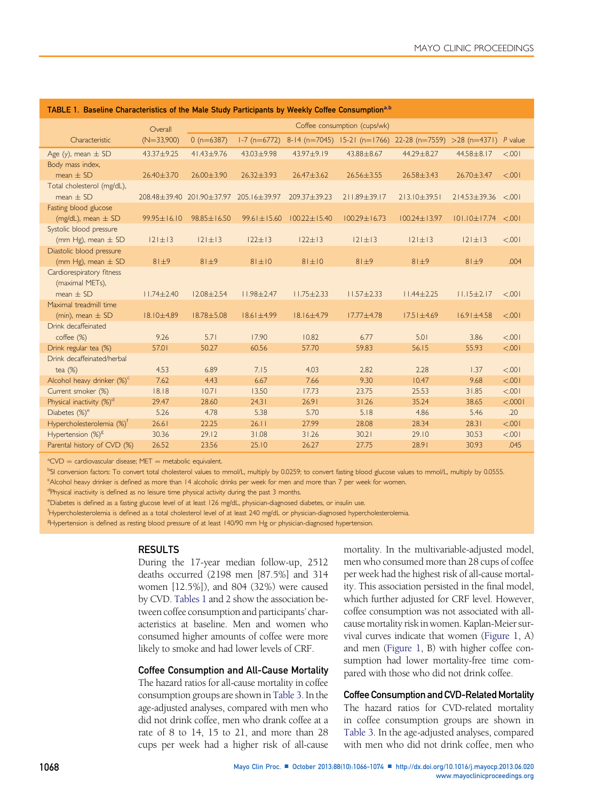| <b>1. Baccame onargetoriouse or the mate others</b> randopante by freeity conce concentration |                           |                              |                   |                    |                    |                                                            |                    |         |
|-----------------------------------------------------------------------------------------------|---------------------------|------------------------------|-------------------|--------------------|--------------------|------------------------------------------------------------|--------------------|---------|
|                                                                                               | Overall                   | Coffee consumption (cups/wk) |                   |                    |                    |                                                            |                    |         |
| Characteristic                                                                                | $(N=33,900)$              | 0 $(n=6387)$                 | $1-7$ (n=6772)    |                    |                    | $8-14$ (n=7045) 15-21 (n=1766) 22-28 (n=7559) >28 (n=4371) |                    | P value |
| Age (y), mean $\pm$ SD                                                                        | 43.37±9.25                | $41.43 \pm 9.76$             | 43.03±9.98        | 43.97±9.19         | 43.88±8.67         | $44.29 \pm 8.27$                                           | $44.58 \pm 8.17$   | < 0.001 |
| Body mass index,                                                                              |                           |                              |                   |                    |                    |                                                            |                    |         |
| mean $\pm$ SD                                                                                 | 26.40±3.70                | 26.00 ± 3.90                 | $26.32 \pm 3.93$  | $26.47 \pm 3.62$   | $26.56 \pm 3.55$   | $26.58 \pm 3.43$                                           | $26.70 \pm 3.47$   | < 0.001 |
| Total cholesterol (mg/dL),                                                                    |                           |                              |                   |                    |                    |                                                            |                    |         |
| mean $\pm$ SD                                                                                 | 208.48±39.40 201.90±37.97 |                              | 205.16±39.97      | 209.37±39.23       | 211.89±39.17       | $213.10\pm39.51$                                           | $214.53 \pm 39.36$ | &001    |
| Fasting blood glucose                                                                         |                           |                              |                   |                    |                    |                                                            |                    |         |
| (mg/dL), mean $\pm$ SD                                                                        | 99.95±16.10               | 98.85±16.50                  | $99.61 \pm 15.60$ | $100.22 \pm 15.40$ | $100.29 \pm 16.73$ | $100.24 \pm 13.97$                                         | $101.10 \pm 17.74$ | < 0.001 |
| Systolic blood pressure                                                                       |                           |                              |                   |                    |                    |                                                            |                    |         |
| (mm Hg), mean $\pm$ SD                                                                        | $ 2  \pm  3 $             | $121 \pm 13$                 | $122 \pm 13$      | $122 \pm 13$       | $121 \pm 13$       | $121 \pm 13$                                               | $121 \pm 13$       | < 0.001 |
| Diastolic blood pressure                                                                      |                           |                              |                   |                    |                    |                                                            |                    |         |
| (mm Hg), mean $\pm$ SD                                                                        | 81±9                      | 81±9                         | $81 \pm 10$       | 81±10              | 81±9               | 81±9                                                       | 81±9               | .004    |
| Cardiorespiratory fitness                                                                     |                           |                              |                   |                    |                    |                                                            |                    |         |
| (maximal METs),                                                                               |                           |                              |                   |                    |                    |                                                            |                    |         |
| $mean + SD$                                                                                   | $11.74 \pm 2.40$          | $12.08 + 2.54$               | $11.98 + 2.47$    | $11.75 \pm 2.33$   | $11.57 + 2.33$     | $11.44 \pm 2.25$                                           | $11.15 \pm 2.17$   | < 0.001 |
| Maximal treadmill time                                                                        |                           |                              |                   |                    |                    |                                                            |                    |         |
| (min), mean $\pm$ SD                                                                          |                           | 18.78±5.08                   | $18.61 \pm 4.99$  | $18.16 \pm 4.79$   | $17.77 \pm 4.78$   | $17.51 \pm 4.69$                                           | $16.91 \pm 4.58$   | < 0.001 |
| Drink decaffeinated                                                                           |                           |                              |                   |                    |                    |                                                            |                    |         |
| coffee (%)                                                                                    | 9.26                      | 5.71                         | 17.90             | 10.82              | 6.77               | 5.01                                                       | 3.86               | < 0.001 |
| Drink regular tea (%)                                                                         | 57.01                     | 50.27                        | 60.56             | 57.70              | 59.83              | 56.15                                                      | 55.93              | < 0.001 |
| Drink decaffeinated/herbal                                                                    |                           |                              |                   |                    |                    |                                                            |                    |         |
| tea $(\%)$                                                                                    | 4.53                      | 6.89                         | 7.15              | 4.03               | 2.82               | 2.28                                                       | 1.37               | < 0.001 |
| Alcohol heavy drinker (%) <sup>c</sup>                                                        | 7.62                      | 4.43                         | 6.67              | 7.66               | 9.30               | 10.47                                                      | 9.68               | < 0.001 |
| Current smoker (%)                                                                            | 18.18                     | 10.71                        | 13.50             | 17.73              | 23.75              | 25.53                                                      | 31.85              | < .001  |
| Physical inactivity (%) <sup>d</sup>                                                          | 29.47                     | 28.60                        | 24.31             | 26.91              | 31.26              | 35.24                                                      | 38.65              | < .0001 |
| Diabetes $(\%)^e$                                                                             | 5.26                      | 4.78                         | 5.38              | 5.70               | 5.18               | 4.86                                                       | 5.46               | .20     |
| Hypercholesterolemia (%) <sup>f</sup>                                                         | 26.61                     | 22.25                        | 26.11             | 27.99              | 28.08              | 28.34                                                      | 28.31              | < 0.001 |
| Hypertension (%) <sup>g</sup>                                                                 | 30.36                     | 29.12                        | 31.08             | 31.26              | 30.21              | 29.10                                                      | 30.53              | < 0.001 |
| Parental history of CVD (%)                                                                   | 26.52                     | 23.56                        | 25.10             | 26.27              | 27.75              | 28.91                                                      | 30.93              | .045    |
|                                                                                               | 18.10±4.89                |                              |                   |                    |                    |                                                            |                    |         |

TABLE 1. Baseline Characteristics of the Male Study Participants by Weekly Coffee Consumptiona,b

 ${}^{a}$ CVD = cardiovascular disease; MET = metabolic equivalent.<br> ${}^{b}$ SL capuacion factor:: To copuart total chalactoral values to

<sup>b</sup>SI conversion factors: To convert total cholesterol values to mmol/L, multiply by 0.0259; to convert fasting blood glucose values to mmol/L, multiply by 0.0555.

c Alcohol heavy drinker is defined as more than 14 alcoholic drinks per week for men and more than 7 per week for women.

<sup>d</sup>Physical inactivity is defined as no leisure time physical activity during the past 3 months.

e Diabetes is defined as a fasting glucose level of at least 126 mg/dL, physician-diagnosed diabetes, or insulin use.

f Hypercholesterolemia is defined as a total cholesterol level of at least 240 mg/dL or physician-diagnosed hypercholesterolemia.

<sup>8</sup>Hypertension is defined as resting blood pressure of at least 140/90 mm Hg or physician-diagnosed hypertension.

#### RESULTS

During the 17-year median follow-up, 2512 deaths occurred (2198 men [87.5%] and 314 women [12.5%]), and 804 (32%) were caused by CVD. Tables 1 and [2](#page-3-0) show the association between coffee consumption and participants' characteristics at baseline. Men and women who consumed higher amounts of coffee were more likely to smoke and had lower levels of CRF.

# Coffee Consumption and All-Cause Mortality

The hazard ratios for all-cause mortality in coffee consumption groups are shown in [Table 3](#page-4-0). In the age-adjusted analyses, compared with men who did not drink coffee, men who drank coffee at a rate of 8 to 14, 15 to 21, and more than 28 cups per week had a higher risk of all-cause mortality. In the multivariable-adjusted model, men who consumed more than 28 cups of coffee per week had the highest risk of all-cause mortality. This association persisted in the final model, which further adjusted for CRF level. However, coffee consumption was not associated with allcause mortality risk inwomen. Kaplan-Meier survival curves indicate that women [\(Figure 1](#page-5-0), A) and men [\(Figure 1,](#page-5-0) B) with higher coffee consumption had lower mortality-free time compared with those who did not drink coffee.

# Coffee Consumption and CVD-Related Mortality

The hazard ratios for CVD-related mortality in coffee consumption groups are shown in [Table 3.](#page-4-0) In the age-adjusted analyses, compared with men who did not drink coffee, men who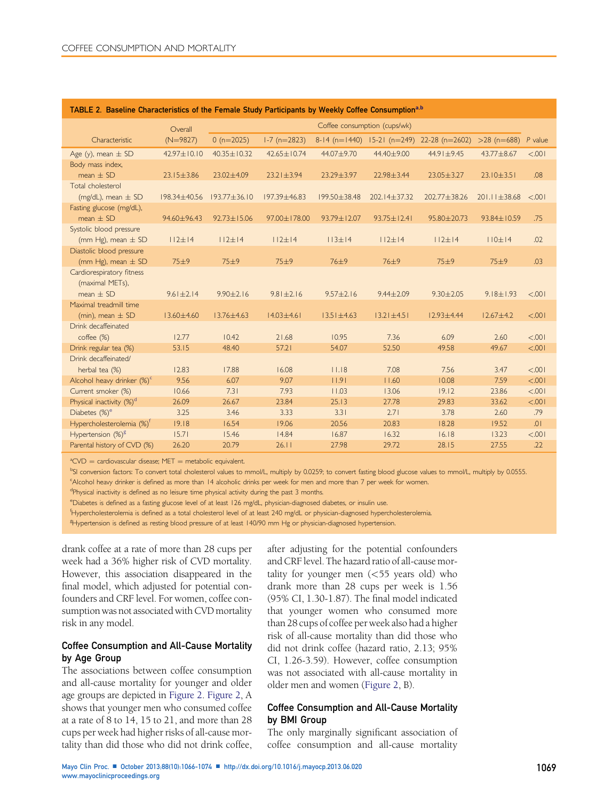<span id="page-3-0"></span>

| TABLE 2. Baseline Characteristics of the Female Study Participants by Weekly Coffee Consumption"." |                 |                              |                  |                  |                   |                                              |                    |           |
|----------------------------------------------------------------------------------------------------|-----------------|------------------------------|------------------|------------------|-------------------|----------------------------------------------|--------------------|-----------|
|                                                                                                    | Overall         | Coffee consumption (cups/wk) |                  |                  |                   |                                              |                    |           |
| Characteristic                                                                                     | $(N=9827)$      | 0 $(n=2025)$                 | $1-7$ (n=2823)   |                  |                   | $8-14$ (n=1440) 15-21 (n=249) 22-28 (n=2602) | $>28$ (n=688)      | $P$ value |
| Age (y), mean $\pm$ SD                                                                             | 42.97±10.10     | 40.35±10.32                  | 42.65±10.74      | 44.07±9.70       | 44.40±9.00        | 44.91±9.45                                   | 43.77±8.67         | < 0.001   |
| Body mass index,<br>mean $\pm$ SD                                                                  | 23.15±3.86      | 23.02±4.09                   | $23.21 \pm 3.94$ | $23.29 \pm 3.97$ | 22.98±3.44        | $23.05 \pm 3.27$                             | $23.10 \pm 3.51$   | .08       |
| Total cholesterol<br>(mg/dL), mean $\pm$ SD                                                        | 198.34±40.56    | $193.77 \pm 36.10$           | 197.39±46.83     | 199.50±38.48     | 202.14±37.32      | 202.77±38.26                                 | $201.11 \pm 38.68$ | < 0.001   |
| Fasting glucose (mg/dL),<br>mean $\pm$ SD                                                          | 94.60±96.43     | 92.73±15.06                  | 97.00±178.00     | 93.79±12.07      | $93.75 \pm 12.41$ | 95.80±20.73                                  | 93.84±10.59        | .75       |
| Systolic blood pressure<br>(mm Hg), mean $\pm$ SD                                                  | $112 \pm 14$    | 112±14                       | $112 \pm 14$     | 113±14           | $112\pm14$        | $112\pm14$                                   | 110±14             | .02       |
| Diastolic blood pressure<br>(mm Hg), mean $\pm$ SD                                                 | 75±9            | 75±9                         | 75±9             | 76±9             | 76±9              | 75±9                                         | 75±9               | .03       |
| Cardiorespiratory fitness<br>(maximal METs),<br>mean $\pm$ SD                                      | $9.61 \pm 2.14$ | $9.90 \pm 2.16$              | $9.81 \pm 2.16$  | $9.57 \pm 2.16$  | $9.44 \pm 2.09$   | $9.30 \pm 2.05$                              | $9.18 \pm 1.93$    | < 0.001   |
| Maximal treadmill time<br>(min), mean $\pm$ SD                                                     | 13.60±4.60      | 13.76±4.63                   | $14.03 \pm 4.61$ | $13.51 \pm 4.63$ | $13.21 \pm 4.51$  | 12.93±4.44                                   | $12.67 \pm 4.2$    | < 0.001   |
| Drink decaffeinated<br>coffee (%)                                                                  | 12.77           | 10.42                        | 21.68            | 10.95            | 7.36              | 6.09                                         | 2.60               | < 0.001   |
| Drink regular tea (%)                                                                              | 53.15           | 48.40                        | 57.21            | 54.07            | 52.50             | 49.58                                        | 49.67              | < 0.001   |
| Drink decaffeinated/<br>herbal tea (%)                                                             | 12.83           | 17.88                        | 16.08            | 11.18            | 7.08              | 7.56                                         | 3.47               | < 0.01    |
| Alcohol heavy drinker (%) <sup>c</sup>                                                             | 9.56            | 6.07                         | 9.07             | 11.91            | 11.60             | 10.08                                        | 7.59               | < 0.001   |
| Current smoker (%)                                                                                 | 10.66           | 7.31                         | 7.93             | 11.03            | 13.06             | 19.12                                        | 23.86              | < 0.001   |
| Physical inactivity (%) <sup>d</sup>                                                               | 26.09           | 26.67                        | 23.84            | 25.13            | 27.78             | 29.83                                        | 33.62              | < 0.001   |
| Diabetes $(\%)^e$                                                                                  | 3.25            | 3.46                         | 3.33             | 3.31             | 2.71              | 3.78                                         | 2.60               | .79       |
| Hypercholesterolemia (%) <sup>t</sup>                                                              | 19.18           | 16.54                        | 19.06            | 20.56            | 20.83             | 18.28                                        | 19.52              | .01       |
| Hypertension (%) <sup>g</sup>                                                                      | 15.71           | 15.46                        | 14.84            | 16.87            | 16.32             | 16.18                                        | 13.23              | < 0.001   |
| Parental history of CVD (%)                                                                        | 26.20           | 20.79                        | 26.11            | 27.98            | 29.72             | 28.15                                        | 27.55              | .22       |

## TABLE 2. Baseline Characteristics of the Female Study Participants by Weekly Coffee Consumption<sup>a,b</sup>

 ${}^{a}$ CVD = cardiovascular disease; MET = metabolic equivalent.<br> ${}^{b}$ SL capitation factors: To copient total chalocteral values to

<sup>b</sup>SI conversion factors: To convert total cholesterol values to mmol/L, multiply by 0.0259; to convert fasting blood glucose values to mmol/L, multiply by 0.0555.

c Alcohol heavy drinker is defined as more than 14 alcoholic drinks per week for men and more than 7 per week for women.

<sup>d</sup>Physical inactivity is defined as no leisure time physical activity during the past 3 months.

e Diabetes is defined as a fasting glucose level of at least 126 mg/dL, physician-diagnosed diabetes, or insulin use.

f Hypercholesterolemia is defined as a total cholesterol level of at least 240 mg/dL or physician-diagnosed hypercholesterolemia.

<sup>8</sup>Hypertension is defined as resting blood pressure of at least 140/90 mm Hg or physician-diagnosed hypertension.

drank coffee at a rate of more than 28 cups per week had a 36% higher risk of CVD mortality. However, this association disappeared in the final model, which adjusted for potential confounders and CRF level. For women, coffee consumption was not associated with CVD mortality risk in any model.

# Coffee Consumption and All-Cause Mortality by Age Group

The associations between coffee consumption and all-cause mortality for younger and older age groups are depicted in [Figure 2](#page-6-0). [Figure 2](#page-6-0), A shows that younger men who consumed coffee at a rate of 8 to 14, 15 to 21, and more than 28 cups per week had higher risks of all-cause mortality than did those who did not drink coffee,

after adjusting for the potential confounders and CRF level. The hazard ratio of all-cause mortality for younger men (<55 years old) who drank more than 28 cups per week is 1.56 (95% CI, 1.30-1.87). The final model indicated that younger women who consumed more than 28 cups of coffee per week also had a higher risk of all-cause mortality than did those who did not drink coffee (hazard ratio, 2.13; 95% CI, 1.26-3.59). However, coffee consumption was not associated with all-cause mortality in older men and women ([Figure 2](#page-6-0), B).

# Coffee Consumption and All-Cause Mortality by BMI Group

The only marginally significant association of coffee consumption and all-cause mortality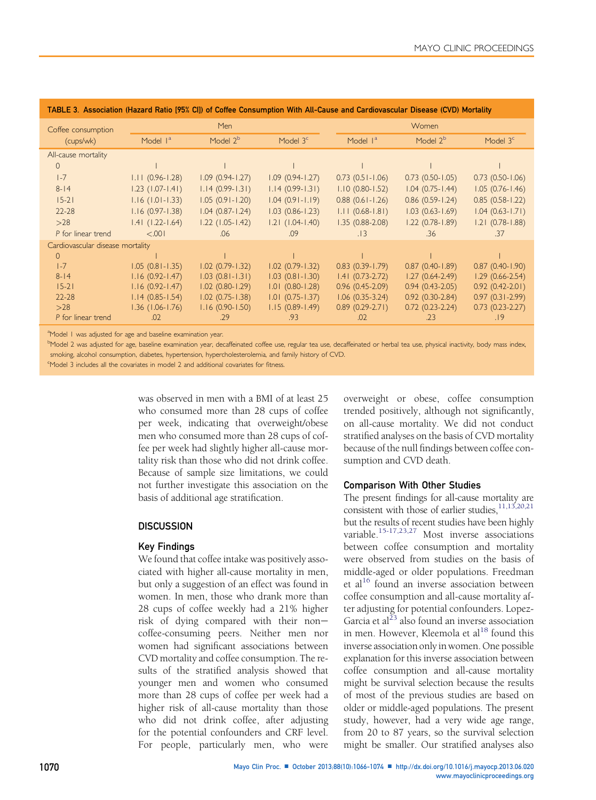| Coffee consumption<br>(cups/wk)  |                      | <b>Men</b>             |                        | Women                  |                        |                        |  |  |
|----------------------------------|----------------------|------------------------|------------------------|------------------------|------------------------|------------------------|--|--|
|                                  | Model 1 <sup>a</sup> | Model 2 <sup>b</sup>   | Model $3c$             | Model $I^a$            | Model 2 <sup>b</sup>   | Model 3 <sup>c</sup>   |  |  |
| All-cause mortality              |                      |                        |                        |                        |                        |                        |  |  |
| $\circ$                          |                      |                        |                        |                        |                        |                        |  |  |
| $1-7$                            | $1.11(0.96 - 1.28)$  | $1.09(0.94-1.27)$      | $1.09(0.94-1.27)$      | $0.73$ $(0.51 - 1.06)$ | $0.73$ $(0.50 - 1.05)$ | $0.73$ $(0.50 - 1.06)$ |  |  |
| $8 - 14$                         | $1.23$ (1.07-1.41)   | $1.14(0.99 - 1.31)$    | $1.14(0.99 - 1.31)$    | $1.10(0.80 - 1.52)$    | $1.04$ $(0.75 - 1.44)$ | $1.05(0.76 - 1.46)$    |  |  |
| $15 - 21$                        | $1.16(1.01 - 1.33)$  | $1.05(0.91 - 1.20)$    | $1.04$ (0.91-1.19)     | $0.88$ $(0.61 - 1.26)$ | $0.86$ $(0.59 - 1.24)$ | $0.85(0.58 - 1.22)$    |  |  |
| $22 - 28$                        | $1.16(0.97 - 1.38)$  | $1.04$ $(0.87 - 1.24)$ | $1.03(0.86 - 1.23)$    | $1.11 (0.68 - 1.81)$   | $1.03$ $(0.63 - 1.69)$ | $1.04$ (0.63-1.71)     |  |  |
| $>28$                            | $1.41(1.22-1.64)$    | $1.22$ (1.05-1.42)     | $1.21$ $(1.04-1.40)$   | $1.35(0.88-2.08)$      | $1.22$ (0.78-1.89)     | $1.21 (0.78 - 1.88)$   |  |  |
| P for linear trend               | < 0.001              | .06                    | .09                    | .13                    | .36                    | .37                    |  |  |
| Cardiovascular disease mortality |                      |                        |                        |                        |                        |                        |  |  |
| $\Omega$                         |                      |                        |                        |                        |                        |                        |  |  |
| $1-7$                            | $1.05(0.81 - 1.35)$  | $1.02$ (0.79-1.32)     | $1.02$ (0.79-1.32)     | $0.83$ $(0.39 - 1.79)$ | $0.87(0.40 - 1.89)$    | $0.87(0.40-1.90)$      |  |  |
| $8 - 14$                         | $1.16(0.92 - 1.47)$  | $1.03(0.81 - 1.31)$    | $1.03$ $(0.81 - 1.30)$ | $1.41(0.73-2.72)$      | $1.27(0.64-2.49)$      | $1.29(0.66 - 2.54)$    |  |  |
| $15 - 21$                        | $1.16(0.92 - 1.47)$  | $1.02$ (0.80-1.29)     | $1.01 (0.80 - 1.28)$   | $0.96(0.45-2.09)$      | $0.94(0.43-2.05)$      | $0.92(0.42 - 2.01)$    |  |  |
| $22 - 28$                        | $1.14(0.85 - 1.54)$  | $1.02$ (0.75-1.38)     | $1.01 (0.75 - 1.37)$   | $1.06$ $(0.35-3.24)$   | $0.92(0.30-2.84)$      | $0.97(0.31 - 2.99)$    |  |  |
| >28                              | $1.36$ (1.06-1.76)   | $1.16(0.90 - 1.50)$    | $1.15(0.89 - 1.49)$    | $0.89$ $(0.29 - 2.71)$ | $0.72(0.23-2.24)$      | $0.73(0.23-2.27)$      |  |  |
| P for linear trend               | .02                  | .29                    | .93                    | .02                    | .23                    | .19                    |  |  |
|                                  |                      |                        |                        |                        |                        |                        |  |  |

# <span id="page-4-0"></span>TABLE 3. Association (Hazard Ratio [95% CI]) of Coffee Consumption With All-Cause and Cardiovascular Disease (CVD) Mortality

<sup>a</sup>Model I was adjusted for age and baseline examination year.

<sup>b</sup>Model 2 was adjusted for age, baseline examination year, decaffeinated coffee use, regular tea use, decaffeinated or herbal tea use, physical inactivity, body mass index, smoking, alcohol consumption, diabetes, hypertension, hypercholesterolemia, and family history of CVD.

Model 3 includes all the covariates in model 2 and additional covariates for fitness.

was observed in men with a BMI of at least 25 who consumed more than 28 cups of coffee per week, indicating that overweight/obese men who consumed more than 28 cups of coffee per week had slightly higher all-cause mortality risk than those who did not drink coffee. Because of sample size limitations, we could not further investigate this association on the basis of additional age stratification.

## **DISCUSSION**

## Key Findings

We found that coffee intake was positively associated with higher all-cause mortality in men, but only a suggestion of an effect was found in women. In men, those who drank more than 28 cups of coffee weekly had a 21% higher risk of dying compared with their noncoffee-consuming peers. Neither men nor women had significant associations between CVD mortality and coffee consumption. The results of the stratified analysis showed that younger men and women who consumed more than 28 cups of coffee per week had a higher risk of all-cause mortality than those who did not drink coffee, after adjusting for the potential confounders and CRF level. For people, particularly men, who were overweight or obese, coffee consumption trended positively, although not significantly, on all-cause mortality. We did not conduct stratified analyses on the basis of CVD mortality because of the null findings between coffee consumption and CVD death.

## Comparison With Other Studies

The present findings for all-cause mortality are consistent with those of earlier studies.<sup>[11,13,20,21](#page-7-0)</sup> but the results of recent studies have been highly variable.[15-17,23,27](#page-7-0) Most inverse associations between coffee consumption and mortality were observed from studies on the basis of middle-aged or older populations. Freedman et al<sup>[16](#page-7-0)</sup> found an inverse association between coffee consumption and all-cause mortality after adjusting for potential confounders. Lopez-Garcia et al $^{23}$  $^{23}$  $^{23}$  also found an inverse association in men. However, Kleemola et al $^{18}$  $^{18}$  $^{18}$  found this inverse association only in women. One possible explanation for this inverse association between coffee consumption and all-cause mortality might be survival selection because the results of most of the previous studies are based on older or middle-aged populations. The present study, however, had a very wide age range, from 20 to 87 years, so the survival selection might be smaller. Our stratified analyses also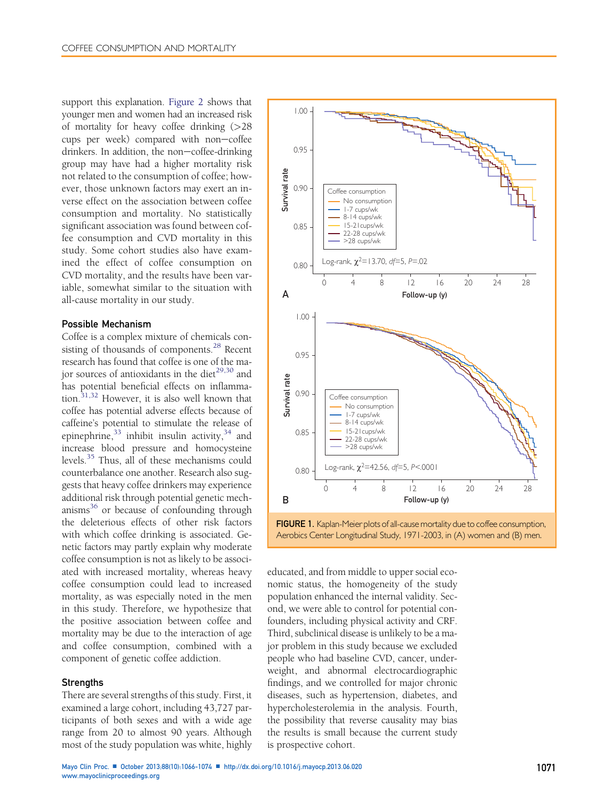<span id="page-5-0"></span>support this explanation. [Figure 2](#page-6-0) shows that younger men and women had an increased risk of mortality for heavy coffee drinking (>28 cups per week) compared with non-coffee drinkers. In addition, the non-coffee-drinking group may have had a higher mortality risk not related to the consumption of coffee; however, those unknown factors may exert an inverse effect on the association between coffee consumption and mortality. No statistically significant association was found between coffee consumption and CVD mortality in this study. Some cohort studies also have examined the effect of coffee consumption on CVD mortality, and the results have been variable, somewhat similar to the situation with all-cause mortality in our study.

# Possible Mechanism

Coffee is a complex mixture of chemicals con-sisting of thousands of components.<sup>[28](#page-8-0)</sup> Recent research has found that coffee is one of the ma-jor sources of antioxidants in the diet<sup>[29,30](#page-8-0)</sup> and has potential beneficial effects on inflammation.[31,32](#page-8-0) However, it is also well known that coffee has potential adverse effects because of caffeine's potential to stimulate the release of epinephrine,  $33$  inhibit insulin activity,  $34$  and increase blood pressure and homocysteine levels.[35](#page-8-0) Thus, all of these mechanisms could counterbalance one another. Research also suggests that heavy coffee drinkers may experience additional risk through potential genetic mech- $anisms<sup>36</sup>$  $anisms<sup>36</sup>$  $anisms<sup>36</sup>$  or because of confounding through the deleterious effects of other risk factors with which coffee drinking is associated. Genetic factors may partly explain why moderate coffee consumption is not as likely to be associated with increased mortality, whereas heavy coffee consumption could lead to increased mortality, as was especially noted in the men in this study. Therefore, we hypothesize that the positive association between coffee and mortality may be due to the interaction of age and coffee consumption, combined with a component of genetic coffee addiction.

## **Strengths**

There are several strengths of this study. First, it examined a large cohort, including 43,727 participants of both sexes and with a wide age range from 20 to almost 90 years. Although most of the study population was white, highly



FIGURE 1. Kaplan-Meier plots of all-cause mortality due to coffee consumption, Aerobics Center Longitudinal Study, 1971-2003, in (A) women and (B) men.

educated, and from middle to upper social economic status, the homogeneity of the study population enhanced the internal validity. Second, we were able to control for potential confounders, including physical activity and CRF. Third, subclinical disease is unlikely to be a major problem in this study because we excluded people who had baseline CVD, cancer, underweight, and abnormal electrocardiographic findings, and we controlled for major chronic diseases, such as hypertension, diabetes, and hypercholesterolemia in the analysis. Fourth, the possibility that reverse causality may bias the results is small because the current study is prospective cohort.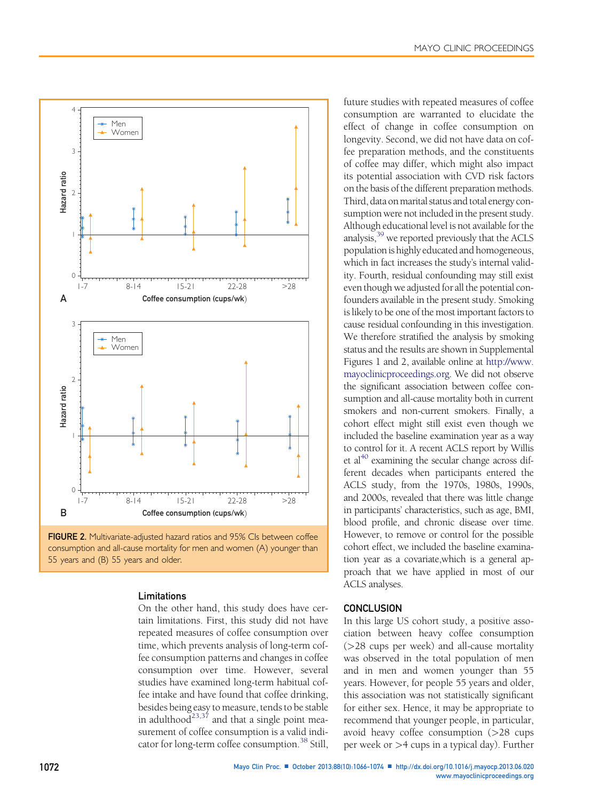

<span id="page-6-0"></span>



# Limitations

On the other hand, this study does have certain limitations. First, this study did not have repeated measures of coffee consumption over time, which prevents analysis of long-term coffee consumption patterns and changes in coffee consumption over time. However, several studies have examined long-term habitual coffee intake and have found that coffee drinking, besides being easy to measure, tends to be stable in adulthood<sup>[23,37](#page-7-0)</sup> and that a single point measurement of coffee consumption is a valid indi-cator for long-term coffee consumption.<sup>[38](#page-8-0)</sup> Still,

future studies with repeated measures of coffee consumption are warranted to elucidate the effect of change in coffee consumption on longevity. Second, we did not have data on coffee preparation methods, and the constituents of coffee may differ, which might also impact its potential association with CVD risk factors on the basis of the different preparation methods. Third, data on marital status and total energy consumption were not included in the present study. Although educational level is not available for the analysis,<sup>39</sup> we reported previously that the ACLS population is highly educated and homogeneous, which in fact increases the study's internal validity. Fourth, residual confounding may still exist even though we adjusted for all the potential confounders available in the present study. Smoking is likely to be one of the most important factors to cause residual confounding in this investigation. We therefore stratified the analysis by smoking status and the results are shown in Supplemental Figures 1 and 2, available online at [http://www.](http://www.mayoclinicproceedings.org) [mayoclinicproceedings.org](http://www.mayoclinicproceedings.org). We did not observe the significant association between coffee consumption and all-cause mortality both in current smokers and non-current smokers. Finally, a cohort effect might still exist even though we included the baseline examination year as a way to control for it. A recent ACLS report by Willis et al<sup>[40](#page-8-0)</sup> examining the secular change across different decades when participants entered the ACLS study, from the 1970s, 1980s, 1990s, and 2000s, revealed that there was little change in participants' characteristics, such as age, BMI, blood profile, and chronic disease over time. However, to remove or control for the possible cohort effect, we included the baseline examination year as a covariate,which is a general approach that we have applied in most of our ACLS analyses.

#### **CONCLUSION**

In this large US cohort study, a positive association between heavy coffee consumption (>28 cups per week) and all-cause mortality was observed in the total population of men and in men and women younger than 55 years. However, for people 55 years and older, this association was not statistically significant for either sex. Hence, it may be appropriate to recommend that younger people, in particular, avoid heavy coffee consumption (>28 cups per week or >4 cups in a typical day). Further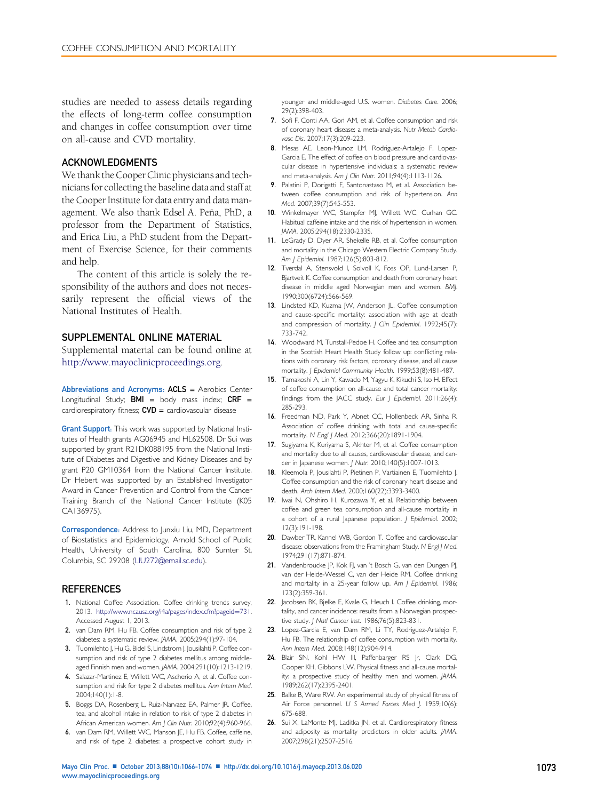<span id="page-7-0"></span>studies are needed to assess details regarding the effects of long-term coffee consumption and changes in coffee consumption over time on all-cause and CVD mortality.

## ACKNOWLEDGMENTS

Wethankthe Cooper Clinic physicians and technicians for collecting the baseline data and staff at the Cooper Institute for data entry and data management. We also thank Edsel A. Peña, PhD, a professor from the Department of Statistics, and Erica Liu, a PhD student from the Department of Exercise Science, for their comments and help.

The content of this article is solely the responsibility of the authors and does not necessarily represent the official views of the National Institutes of Health.

## SUPPLEMENTAL ONLINE MATERIAL

Supplemental material can be found online at <http://www.mayoclinicproceedings.org>.

Abbreviations and Acronyms: ACLS = Aerobics Center Longitudinal Study;  $BMI =$  body mass index;  $CRF =$ cardiorespiratory fitness;  $CVD =$  cardiovascular disease

Grant Support: This work was supported by National Institutes of Health grants AG06945 and HL62508. Dr Sui was supported by grant R21DK088195 from the National Institute of Diabetes and Digestive and Kidney Diseases and by grant P20 GM10364 from the National Cancer Institute. Dr Hebert was supported by an Established Investigator Award in Cancer Prevention and Control from the Cancer Training Branch of the National Cancer Institute (K05 CA136975).

Correspondence: Address to Junxiu Liu, MD, Department of Biostatistics and Epidemiology, Arnold School of Public Health, University of South Carolina, 800 Sumter St, Columbia, SC 29208 [\(LIU272@email.sc.edu\)](mailto:LIU272@email.sc.edu).

#### **REFERENCES**

- 1. National Coffee Association. Coffee drinking trends survey, 2013. [http://www.ncausa.org/i4a/pages/index.cfm?pageid](http://www.ncausa.org/i4a/pages/index.cfm?pageid=731)=[731](http://www.ncausa.org/i4a/pages/index.cfm?pageid=731). Accessed August 1, 2013.
- 2. van Dam RM, Hu FB. Coffee consumption and risk of type 2 diabetes: a systematic review. JAMA. 2005;294(1):97-104.
- 3. Tuomilehto J, Hu G, Bidel S, Lindstrom J, Jousilahti P. Coffee consumption and risk of type 2 diabetes mellitus among middleaged Finnish men and women. JAMA. 2004;291(10):1213-1219.
- 4. Salazar-Martinez E, Willett WC, Ascherio A, et al. Coffee consumption and risk for type 2 diabetes mellitus. Ann Intern Med. 2004;140(1):1-8.
- 5. Boggs DA, Rosenberg L, Ruiz-Narvaez EA, Palmer JR. Coffee, tea, and alcohol intake in relation to risk of type 2 diabetes in African American women. Am J Clin Nutr. 2010;92(4):960-966.
- 6. van Dam RM, Willett WC, Manson JE, Hu FB. Coffee, caffeine, and risk of type 2 diabetes: a prospective cohort study in

younger and middle-aged U.S. women. Diabetes Care. 2006; 29(2):398-403.

- 7. Sofi F, Conti AA, Gori AM, et al. Coffee consumption and risk of coronary heart disease: a meta-analysis. Nutr Metab Cardiovasc Dis. 2007;17(3):209-223.
- 8. Mesas AE, Leon-Munoz LM, Rodriguez-Artalejo F, Lopez-Garcia E. The effect of coffee on blood pressure and cardiovascular disease in hypertensive individuals: a systematic review and meta-analysis. Am J Clin Nutr. 2011;94(4):1113-1126.
- 9. Palatini P, Dorigatti F, Santonastaso M, et al. Association between coffee consumption and risk of hypertension. Ann Med. 2007;39(7):545-553.
- 10. Winkelmayer WC, Stampfer MJ, Willett WC, Curhan GC. Habitual caffeine intake and the risk of hypertension in women. JAMA. 2005;294(18):2330-2335.
- 11. LeGrady D, Dyer AR, Shekelle RB, et al. Coffee consumption and mortality in the Chicago Western Electric Company Study. Am | Epidemiol. 1987;126(5):803-812.
- 12. Tverdal A, Stensvold I, Solvoll K, Foss OP, Lund-Larsen P, Bjartveit K. Coffee consumption and death from coronary heart disease in middle aged Norwegian men and women. BMJ. 1990;300(6724):566-569.
- 13. Lindsted KD, Kuzma JW, Anderson JL. Coffee consumption and cause-specific mortality: association with age at death and compression of mortality. J Clin Epidemiol. 1992;45(7): 733-742.
- 14. Woodward M, Tunstall-Pedoe H. Coffee and tea consumption in the Scottish Heart Health Study follow up: conflicting relations with coronary risk factors, coronary disease, and all cause mortality. J Epidemiol Community Health. 1999;53(8):481-487.
- 15. Tamakoshi A, Lin Y, Kawado M, Yagyu K, Kikuchi S, Iso H. Effect of coffee consumption on all-cause and total cancer mortality: findings from the JACC study. Eur J Epidemiol. 2011;26(4): 285-293.
- 16. Freedman ND, Park Y, Abnet CC, Hollenbeck AR, Sinha R. Association of coffee drinking with total and cause-specific mortality. N Engl J Med. 2012;366(20):1891-1904.
- 17. Sugiyama K, Kuriyama S, Akhter M, et al. Coffee consumption and mortality due to all causes, cardiovascular disease, and cancer in Japanese women. J Nutr. 2010;140(5):1007-1013.
- 18. Kleemola P, Jousilahti P, Pietinen P, Vartiainen E, Tuomilehto J. Coffee consumption and the risk of coronary heart disease and death. Arch Intern Med. 2000;160(22):3393-3400.
- 19. Iwai N, Ohshiro H, Kurozawa Y, et al. Relationship between coffee and green tea consumption and all-cause mortality in a cohort of a rural Japanese population. J Epidemiol. 2002; 12(3):191-198.
- 20. Dawber TR, Kannel WB, Gordon T. Coffee and cardiovascular disease: observations from the Framingham Study. N Engl J Med. 1974;291(17):871-874.
- 21. Vandenbroucke JP, Kok FJ, van 't Bosch G, van den Dungen PJ, van der Heide-Wessel C, van der Heide RM. Coffee drinking and mortality in a 25-year follow up. Am J Epidemiol. 1986; 123(2):359-361.
- 22. Jacobsen BK, Bjelke E, Kvale G, Heuch I. Coffee drinking, mortality, and cancer incidence: results from a Norwegian prospective study. | Natl Cancer Inst. 1986;76(5):823-831.
- 23. Lopez-Garcia E, van Dam RM, Li TY, Rodriguez-Artalejo F, Hu FB. The relationship of coffee consumption with mortality. Ann Intern Med. 2008;148(12):904-914.
- 24. Blair SN, Kohl HW III, Paffenbarger RS Jr, Clark DG, Cooper KH, Gibbons LW. Physical fitness and all-cause mortality: a prospective study of healthy men and women. JAMA. 1989;262(17):2395-2401.
- 25. Balke B, Ware RW. An experimental study of physical fitness of Air Force personnel. U S Armed Forces Med J. 1959;10(6): 675-688.
- 26. Sui X, LaMonte MJ, Laditka JN, et al. Cardiorespiratory fitness and adiposity as mortality predictors in older adults. JAMA. 2007;298(21):2507-2516.